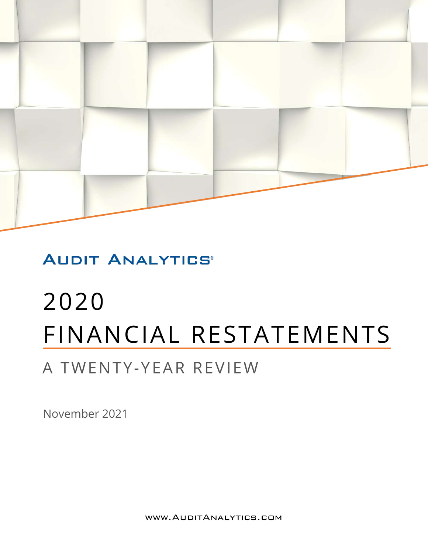

### **AUDIT ANALYTICS®**

# 2020 FINANCIAL RESTATEMENTS

## A TWENTY-YEAR REVIEW

November 2021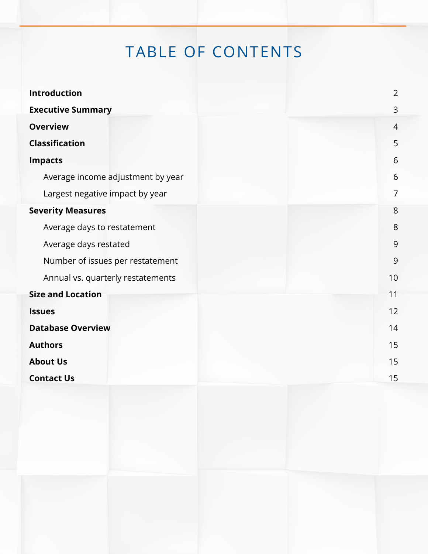## TABLE OF CONTENTS

| <b>Introduction</b>               | $\overline{2}$ |  |  |
|-----------------------------------|----------------|--|--|
| <b>Executive Summary</b>          | 3              |  |  |
| <b>Overview</b>                   |                |  |  |
| <b>Classification</b>             | 5              |  |  |
| <b>Impacts</b>                    | 6              |  |  |
| Average income adjustment by year | 6              |  |  |
| Largest negative impact by year   | 7              |  |  |
| <b>Severity Measures</b>          | 8              |  |  |
| Average days to restatement       | 8              |  |  |
| Average days restated             | 9              |  |  |
| Number of issues per restatement  | 9              |  |  |
| Annual vs. quarterly restatements | 10             |  |  |
| <b>Size and Location</b>          | 11             |  |  |
| <b>Issues</b>                     | 12             |  |  |
| <b>Database Overview</b>          | 14             |  |  |
| <b>Authors</b>                    | 15             |  |  |
| <b>About Us</b>                   | 15             |  |  |
| <b>Contact Us</b>                 | 15             |  |  |
|                                   |                |  |  |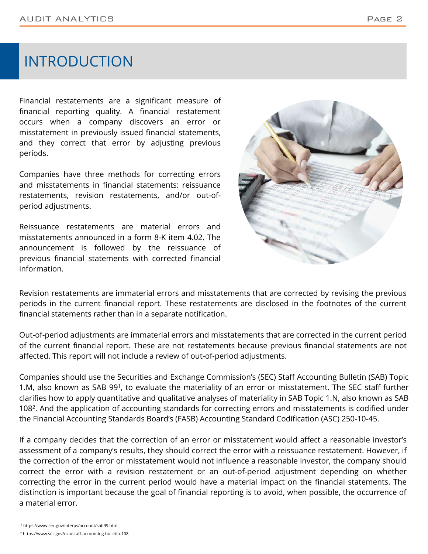### INTRODUCTION

Financial restatements are a significant measure of financial reporting quality. A financial restatement occurs when a company discovers an error or misstatement in previously issued financial statements, and they correct that error by adjusting previous periods.

Companies have three methods for correcting errors and misstatements in financial statements: reissuance restatements, revision restatements, and/or out-ofperiod adjustments.

Reissuance restatements are material errors and misstatements announced in a form 8-K item 4.02. The announcement is followed by the reissuance of previous financial statements with corrected financial information.



Revision restatements are immaterial errors and misstatements that are corrected by revising the previous periods in the current financial report. These restatements are disclosed in the footnotes of the current financial statements rather than in a separate notification.

Out-of-period adjustments are immaterial errors and misstatements that are corrected in the current period of the current financial report. These are not restatements because previous financial statements are not affected. This report will not include a review of out-of-period adjustments.

Companies should use the Securities and Exchange Commission's (SEC) Staff Accounting Bulletin (SAB) Topic 1.M, also known as SAB 99<sup>1</sup>, to evaluate the materiality of an error or misstatement. The SEC staff further clarifies how to apply quantitative and qualitative analyses of materiality in SAB Topic 1.N, also known as SAB 108<sup>2</sup>. And the application of accounting standards for correcting errors and misstatements is codified under the Financial Accounting Standards Board's (FASB) Accounting Standard Codification (ASC) 250-10-45.

If a company decides that the correction of an error or misstatement would affect a reasonable investor's assessment of a company's results, they should correct the error with a reissuance restatement. However, if the correction of the error or misstatement would not influence a reasonable investor, the company should correct the error with a revision restatement or an out-of-period adjustment depending on whether correcting the error in the current period would have a material impact on the financial statements. The distinction is important because the goal of financial reporting is to avoid, when possible, the occurrence of a material error.

<sup>1</sup> https://www.sec.gov/interps/account/sab99.htm

<sup>2</sup> https://www.sec.gov/oca/staff-accounting-bulletin-108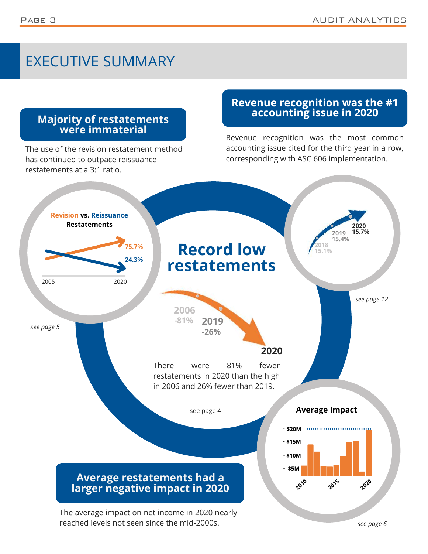### EXECUTIVE SUMMARY

### **Majority of restatements were immaterial**

The use of the revision restatement method has continued to outpace reissuance restatements at a 3:1 ratio.

### **Revenue recognition was the #1 accounting issue in 2020**

Revenue recognition was the most common accounting issue cited for the third year in a row, corresponding with ASC 606 implementation.



reached levels not seen since the mid-2000s.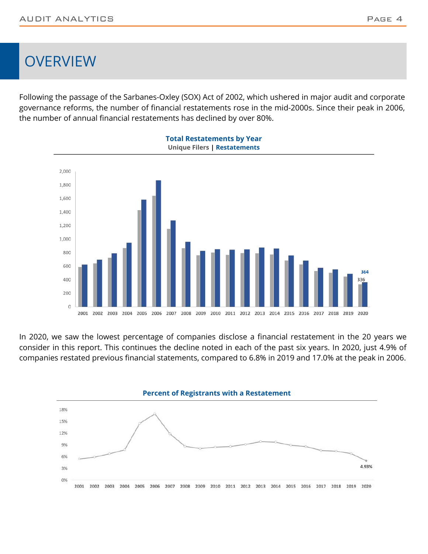### **OVERVIEW**

Following the passage of the Sarbanes-Oxley (SOX) Act of 2002, which ushered in major audit and corporate governance reforms, the number of financial restatements rose in the mid-2000s. Since their peak in 2006, the number of annual financial restatements has declined by over 80%.



In 2020, we saw the lowest percentage of companies disclose a financial restatement in the 20 years we consider in this report. This continues the decline noted in each of the past six years. In 2020, just 4.9% of companies restated previous financial statements, compared to 6.8% in 2019 and 17.0% at the peak in 2006.

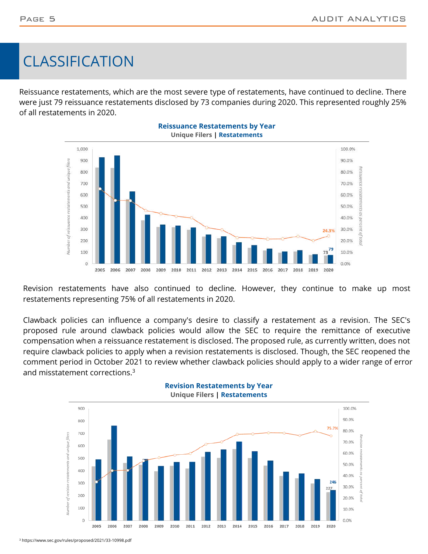### CLASSIFICATION

Reissuance restatements, which are the most severe type of restatements, have continued to decline. There were just 79 reissuance restatements disclosed by 73 companies during 2020. This represented roughly 25% of all restatements in 2020.



Revision restatements have also continued to decline. However, they continue to make up most restatements representing 75% of all restatements in 2020.

Clawback policies can influence a company's desire to classify a restatement as a revision. The SEC's proposed rule around clawback policies would allow the SEC to require the remittance of executive compensation when a reissuance restatement is disclosed. The proposed rule, as currently written, does not require clawback policies to apply when a revision restatements is disclosed. Though, the SEC reopened the comment period in October 2021 to review whether clawback policies should apply to a wider range of error and misstatement corrections.<sup>3</sup>



**Revision Restatements by Year**

3 https://www.sec.gov/rules/proposed/2021/33-10998.pdf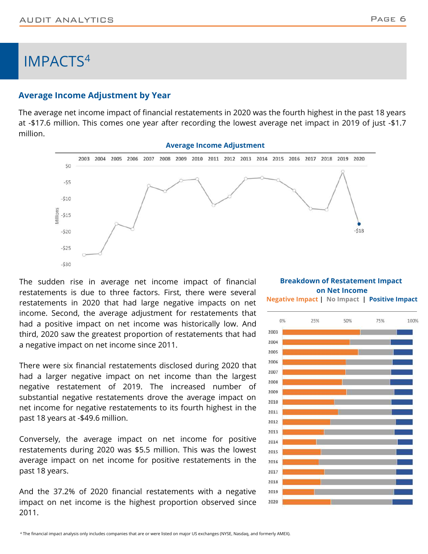### IMPACTS<sup>4</sup>

#### **Average Income Adjustment by Year**

The average net income impact of financial restatements in 2020 was the fourth highest in the past 18 years at -\$17.6 million. This comes one year after recording the lowest average net impact in 2019 of just -\$1.7 million.



The sudden rise in average net income impact of financial restatements is due to three factors. First, there were several restatements in 2020 that had large negative impacts on net income. Second, the average adjustment for restatements that had a positive impact on net income was historically low. And third, 2020 saw the greatest proportion of restatements that had a negative impact on net income since 2011.

There were six financial restatements disclosed during 2020 that had a larger negative impact on net income than the largest negative restatement of 2019. The increased number of substantial negative restatements drove the average impact on net income for negative restatements to its fourth highest in the past 18 years at -\$49.6 million.

Conversely, the average impact on net income for positive restatements during 2020 was \$5.5 million. This was the lowest average impact on net income for positive restatements in the past 18 years.

And the 37.2% of 2020 financial restatements with a negative impact on net income is the highest proportion observed since 2011.

**Breakdown of Restatement Impact on Net Income Negative Impact | No Impact | Positive Impact**

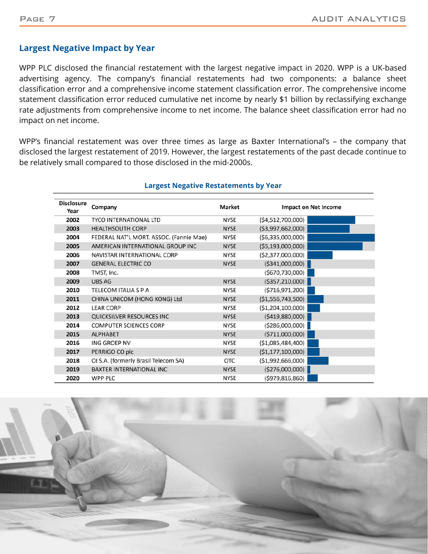#### **Largest Negative Impact by Year**

WPP PLC disclosed the financial restatement with the largest negative impact in 2020. WPP is a UK-based advertising agency. The company's financial restatements had two components: a balance sheet classification error and a comprehensive income statement classification error. The comprehensive income statement classification error reduced cumulative net income by nearly \$1 billion by reclassifying exchange rate adjustments from comprehensive income to net income. The balance sheet classification error had no impact on net income.

WPP's financial restatement was over three times as large as Baxter International's – the company that disclosed the largest restatement of 2019. However, the largest restatements of the past decade continue to be relatively small compared to those disclosed in the mid-2000s.

| <b>Disclosure</b><br>Year | Company                                 | Market      | Impact on Net Income |  |  |
|---------------------------|-----------------------------------------|-------------|----------------------|--|--|
| 2002                      | <b>TYCO INTERNATIONAL LTD</b>           | <b>NYSE</b> | (54, 512, 700, 000)  |  |  |
| 2003                      | <b>HEALTHSOUTH CORP</b>                 | <b>NYSE</b> | ( \$3,997,662,000)   |  |  |
| 2004                      | FEDERAL NAT'L MORT. ASSOC. (Fannie Mae) | <b>NYSE</b> | ( \$6,335,000,000)   |  |  |
| 2005                      | AMERICAN INTERNATIONAL GROUP INC        | <b>NYSE</b> | ( \$5,193,000,000)   |  |  |
| 2006                      | NAVISTAR INTERNATIONAL CORP             | <b>NYSE</b> | ( \$2,377,000,000)   |  |  |
| 2007                      | <b>GENERAL ELECTRIC CO</b>              | <b>NYSE</b> | ( \$341,000,000)     |  |  |
| 2008                      | TMST, Inc.                              |             | ( \$670, 730, 000]   |  |  |
| 2009                      | <b>UBS AG</b>                           | <b>NYSE</b> | ( \$357, 210,000]    |  |  |
| 2010                      | TELECOM ITALIA S P A                    | <b>NYSE</b> | (5716, 971, 200)     |  |  |
| 2011                      | CHINA UNICOM (HONG KONG) Ltd            | <b>NYSE</b> | (51, 556, 743, 500)  |  |  |
| 2012                      | <b>LEAR CORP</b>                        | NYSE        | (\$1,204,100,000)    |  |  |
| 2013                      | QUICKSILVER RESOURCES INC               | <b>NYSE</b> | (5419,880,000)       |  |  |
| 2014                      | <b>COMPUTER SCIENCES CORP</b>           | <b>NYSE</b> | ( \$286,000,000]     |  |  |
| 2015                      | <b>ALPHABET</b>                         | <b>NYSE</b> | ( \$711,000,000]     |  |  |
| 2016                      | <b>ING GROEP NV</b>                     | <b>NYSE</b> | ( \$1,085,484,400)   |  |  |
| 2017                      | PERRIGO CO plc                          | <b>NYSE</b> | (51, 177, 100, 000)  |  |  |
| 2018                      | OI S.A. (formerly Brasil Telecom SA)    | <b>OTC</b>  | ( \$1,992,666,000)   |  |  |
| 2019                      | <b>BAXTER INTERNATIONAL INC</b>         | <b>NYSE</b> | ( \$276,000,000)     |  |  |
| 2020                      | <b>WPP PLC</b>                          | <b>NYSE</b> | (5979, 816, 860)     |  |  |

#### **Largest Negative Restatements by Year**

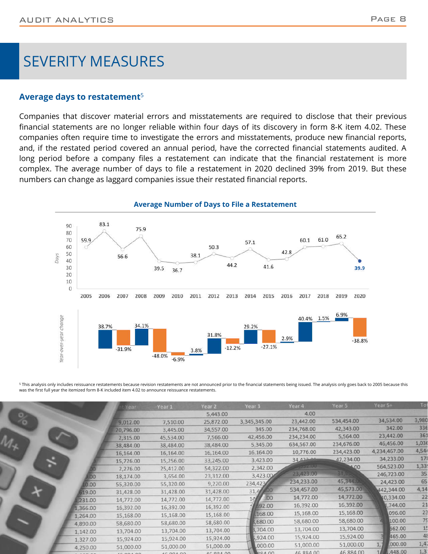### SEVERITY MEASURES

#### **Average days to restatement**<sup>5</sup>

Companies that discover material errors and misstatements are required to disclose that their previous financial statements are no longer reliable within four days of its discovery in form 8-K item 4.02. These companies often require time to investigate the errors and misstatements, produce new financial reports, and, if the restated period covered an annual period, have the corrected financial statements audited. A long period before a company files a restatement can indicate that the financial restatement is more complex. The average number of days to file a restatement in 2020 declined 39% from 2019. But these numbers can change as laggard companies issue their restated financial reports.



 $^{\rm 5}$  This analysis only includes reissuance restatements because revision restatements are not announced prior to the financial statements being issued. The analysis only goes back to 2005 because this was the first full year the itemized form 8-K included item 4.02 to announce reissuance restatements.

|   |                | Year      | Year 1    | Year <sub>2</sub> | Year 3                  | Year 4     | Year 5     | Year 5+      | Ιо             |
|---|----------------|-----------|-----------|-------------------|-------------------------|------------|------------|--------------|----------------|
|   |                |           |           | 5,443.00          |                         | 4.00       |            |              |                |
| o |                | 9,012.00  | 7,510.00  | 25,872.00         | 3,345,345.00            | 23,442.00  | 534,454.00 | 34,534.00    | 3,980          |
|   |                | 20,796.00 | 3,445.00  | 34,557.00         | 345.00                  | 234,768.00 | 42,343.00  | 342.00       | 336            |
|   |                | 2,315.00  | 45,534.00 | 7,566.00          | 42,456.00               | 234,234.00 | 5,564.00   | 23,442.00    | 36             |
|   |                | 38,484.00 | 38,484.00 | 38,484.00         | 5,345.00                | 634,567.00 | 234,676.00 | 46,456.00    | 1,03           |
|   |                | 16,164.00 | 16,164.00 | 16,164.00         | 16,164.00               | 10,776.00  | 234,423.00 | 4,234,467.00 | 4,54           |
|   |                | 15,726.00 | 15,256.00 | 33,245.00         | 3,423.00                | 34.422.00  | 42,234.00  | 34,233.00    | 17             |
|   |                | 2,276.00  | 25,412.00 | 54,322.00         | 2,342.00                | $-97.00$   | $00-$      | 564,523.00   | 1,33           |
|   | D <sub>O</sub> | 18,174.00 | 3,654.00  | 23,312.00         | 3,423.00                | 23,423.00  | 14555      | 246,723.00   | 35             |
|   | 0.00           | 55,320.00 | 55,320.00 | 9,220.00          | 234,423                 | 234,233.00 | 45,344.UI  | 24,423.00    | 65             |
|   | 19.00          | 31,428.00 | 31,428.00 | 31,428.00         | 31,4                    | 534,457.00 | 45,573.00  | 442,344.00   | 4,14           |
|   | 231.00         | 14,772.00 | 14,772.00 | 14,772.00         | .00.<br>10 <sub>1</sub> | 14,772.00  | 14,772.00  | 40,334.00    | 22             |
|   | 1,366.00       | 16,392.00 | 16,392.00 | 16,392.00         | \$92.00                 | 16,392.00  | 16,392.00  | ,744.00      | 2:             |
|   | 1,264.00       | 15,168.00 | 15,168.00 | 15,168.00         | 168.00                  | 15,168.00  | 15,168.00  | 096.00       | 2              |
|   | 4,890.00       | 58,680.00 | 58,680.00 | 58,680.00         | 1,680.00                | 58,680.00  | 58,680.00  | 100.00       | 7 <sup>0</sup> |
|   | 1,142.00       | 13,704.00 | 13,704.00 | 13,704.00         | 3,704.00                | 13,704.00  | 13,704.00  | 662.00       |                |
|   | 1,327.00       | 15,924.00 | 15,924.00 | 15,924.00         | ,924.00                 | 15,924.00  | 15,924.00  | 465.00       | 4              |
|   | 4,250.00       | 51,000.00 | 51,000.00 | 51,000.00         | ,000.00                 | 51,000.00  | 51,000.00  | ,000.00      | 1,4            |
|   |                | 0000000   | AC OOA OO | AG 00 A 00        | <b>RRA 00</b>           | 46.884.00  | 46,884.00  | 1,448.00     | 1,3            |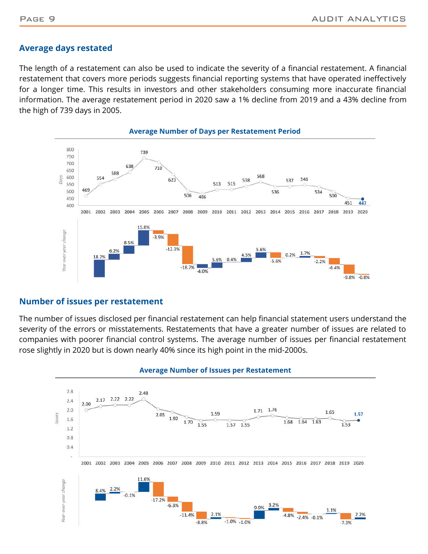#### **Average days restated**

The length of a restatement can also be used to indicate the severity of a financial restatement. A financial restatement that covers more periods suggests financial reporting systems that have operated ineffectively for a longer time. This results in investors and other stakeholders consuming more inaccurate financial information. The average restatement period in 2020 saw a 1% decline from 2019 and a 43% decline from the high of 739 days in 2005.



#### **Number of issues per restatement**

The number of issues disclosed per financial restatement can help financial statement users understand the severity of the errors or misstatements. Restatements that have a greater number of issues are related to companies with poorer financial control systems. The average number of issues per financial restatement rose slightly in 2020 but is down nearly 40% since its high point in the mid-2000s.



#### **Average Number of Issues per Restatement**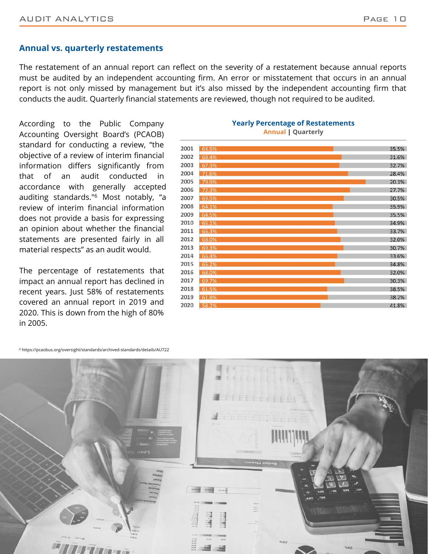#### **Annual vs. quarterly restatements**

The restatement of an annual report can reflect on the severity of a restatement because annual reports must be audited by an independent accounting firm. An error or misstatement that occurs in an annual report is not only missed by management but it's also missed by the independent accounting firm that conducts the audit. Quarterly financial statements are reviewed, though not required to be audited.

According to the Public Company Accounting Oversight Board's (PCAOB) standard for conducting a review, "the objective of a review of interim financial information differs significantly from that of an audit conducted in accordance with generally accepted auditing standards."<sup>6</sup> Most notably, "a review of interim financial information does not provide a basis for expressing an opinion about whether the financial statements are presented fairly in all material respects" as an audit would.

The percentage of restatements that impact an annual report has declined in recent years. Just 58% of restatements covered an annual report in 2019 and 2020. This is down from the high of 80% in 2005.

#### **Yearly Percentage of Restatements Annual | Quarterly**



6 https://pcaobus.org/oversight/standards/archived-standards/details/AU722

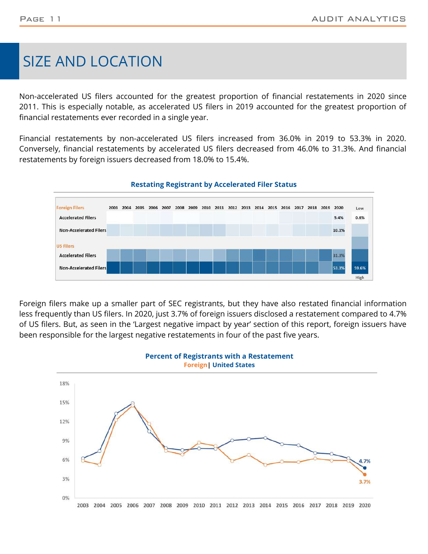### SIZE AND LOCATION

Non-accelerated US filers accounted for the greatest proportion of financial restatements in 2020 since 2011. This is especially notable, as accelerated US filers in 2019 accounted for the greatest proportion of financial restatements ever recorded in a single year.

Financial restatements by non-accelerated US filers increased from 36.0% in 2019 to 53.3% in 2020. Conversely, financial restatements by accelerated US filers decreased from 46.0% to 31.3%. And financial restatements by foreign issuers decreased from 18.0% to 15.4%.



#### **Restating Registrant by Accelerated Filer Status**

Foreign filers make up a smaller part of SEC registrants, but they have also restated financial information less frequently than US filers. In 2020, just 3.7% of foreign issuers disclosed a restatement compared to 4.7% of US filers. But, as seen in the 'Largest negative impact by year' section of this report, foreign issuers have been responsible for the largest negative restatements in four of the past five years.

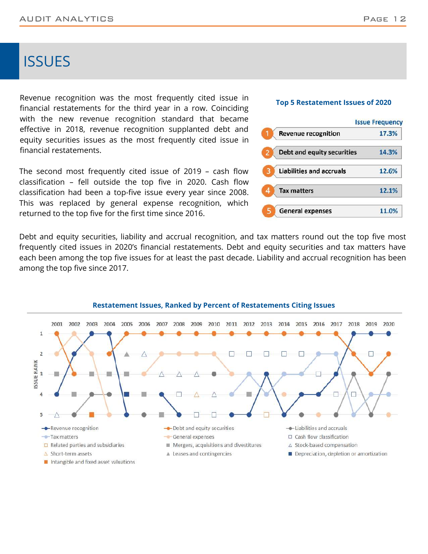### **ISSUES**

Revenue recognition was the most frequently cited issue in financial restatements for the third year in a row. Coinciding with the new revenue recognition standard that became effective in 2018, revenue recognition supplanted debt and equity securities issues as the most frequently cited issue in financial restatements.

The second most frequently cited issue of 2019 – cash flow classification – fell outside the top five in 2020. Cash flow classification had been a top-five issue every year since 2008. This was replaced by general expense recognition, which returned to the top five for the first time since 2016.

Debt and equity securities, liability and accrual recognition, and tax matters round out the top five most frequently cited issues in 2020's financial restatements. Debt and equity securities and tax matters have each been among the top five issues for at least the past decade. Liability and accrual recognition has been among the top five since 2017.



#### **Restatement Issues, Ranked by Percent of Restatements Citing Issues**

#### **Top 5 Restatement Issues of 2020**

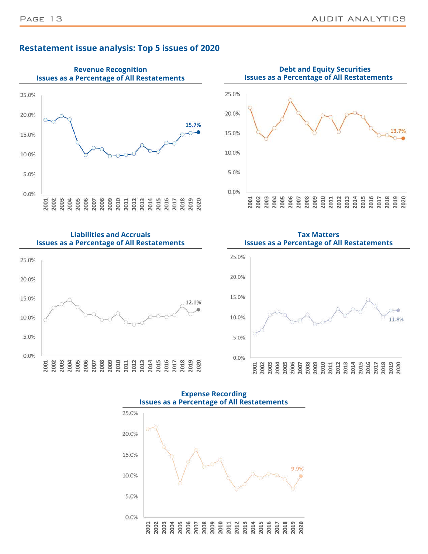

### **Restatement issue analysis: Top 5 issues of 2020**









**Expense Recording Issues as a Percentage of All Restatements**

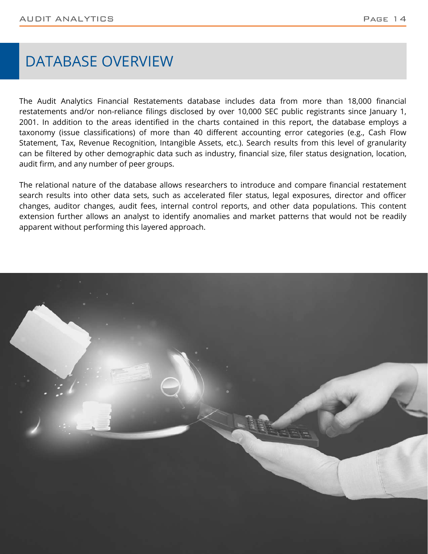### DATABASE OVERVIEW

The Audit Analytics Financial Restatements database includes data from more than 18,000 financial restatements and/or non-reliance filings disclosed by over 10,000 SEC public registrants since January 1, 2001. In addition to the areas identified in the charts contained in this report, the database employs a taxonomy (issue classifications) of more than 40 different accounting error categories (e.g., Cash Flow Statement, Tax, Revenue Recognition, Intangible Assets, etc.). Search results from this level of granularity can be filtered by other demographic data such as industry, financial size, filer status designation, location, audit firm, and any number of peer groups.

The relational nature of the database allows researchers to introduce and compare financial restatement search results into other data sets, such as accelerated filer status, legal exposures, director and officer changes, auditor changes, audit fees, internal control reports, and other data populations. This content extension further allows an analyst to identify anomalies and market patterns that would not be readily apparent without performing this layered approach.